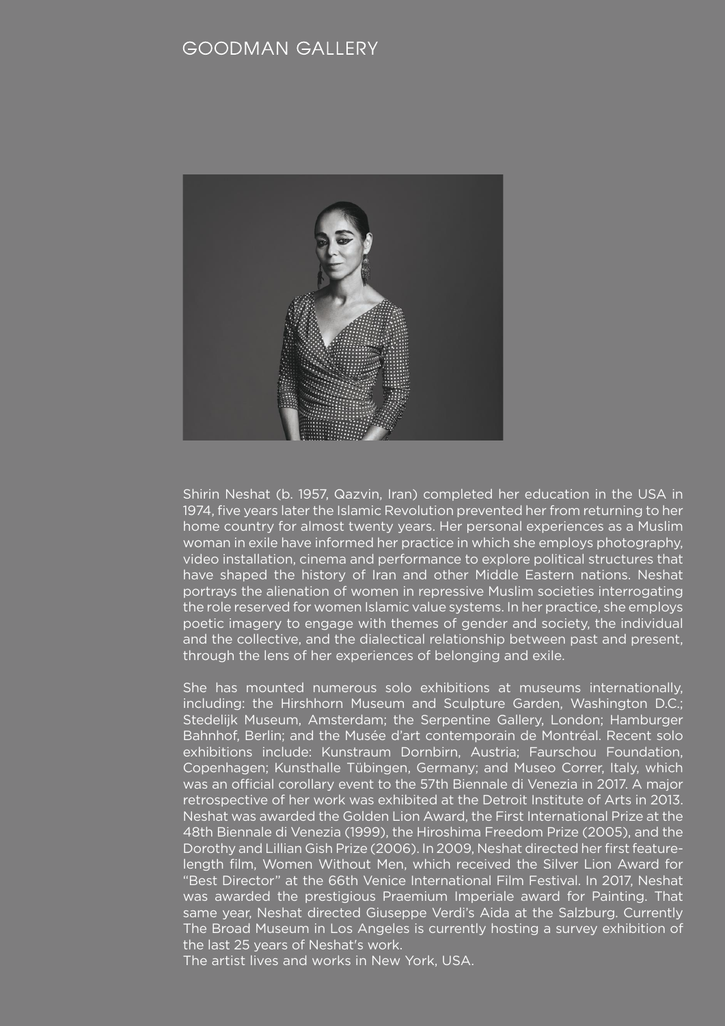# **GOODMAN GALLERY**



video installation, cinema and performance to explore political structures that have shaped the history of Iran and other Middle Eastern nations. Neshat Shirin Neshat (b. 1957, Qazvin, Iran) completed her education in the USA in 1974, five years later the Islamic Revolution prevented her from returning to her home country for almost twenty years. Her personal experiences as a Muslim woman in exile have informed her practice in which she employs photography, portrays the alienation of women in repressive Muslim societies interrogating the role reserved for women Islamic value systems. In her practice, she employs poetic imagery to engage with themes of gender and society, the individual and the collective, and the dialectical relationship between past and present, through the lens of her experiences of belonging and exile.

She has mounted numerous solo exhibitions at museums internationally, including: the Hirshhorn Museum and Sculpture Garden, Washington D.C.; Stedelijk Museum, Amsterdam; the Serpentine Gallery, London; Hamburger Bahnhof, Berlin; and the Musée d'art contemporain de Montréal. Recent solo exhibitions include: Kunstraum Dornbirn, Austria; Faurschou Foundation, Copenhagen; Kunsthalle Tübingen, Germany; and Museo Correr, Italy, which was an official corollary event to the 57th Biennale di Venezia in 2017. A major retrospective of her work was exhibited at the Detroit Institute of Arts in 2013. Neshat was awarded the Golden Lion Award, the First International Prize at the 48th Biennale di Venezia (1999), the Hiroshima Freedom Prize (2005), and the Dorothy and Lillian Gish Prize (2006). In 2009, Neshat directed her first featurelength film, Women Without Men, which received the Silver Lion Award for "Best Director" at the 66th Venice International Film Festival. In 2017, Neshat was awarded the prestigious Praemium Imperiale award for Painting. That same year, Neshat directed Giuseppe Verdi's Aida at the Salzburg. Currently The Broad Museum in Los Angeles is currently hosting a survey exhibition of the last 25 years of Neshat's work.

The artist lives and works in New York, USA.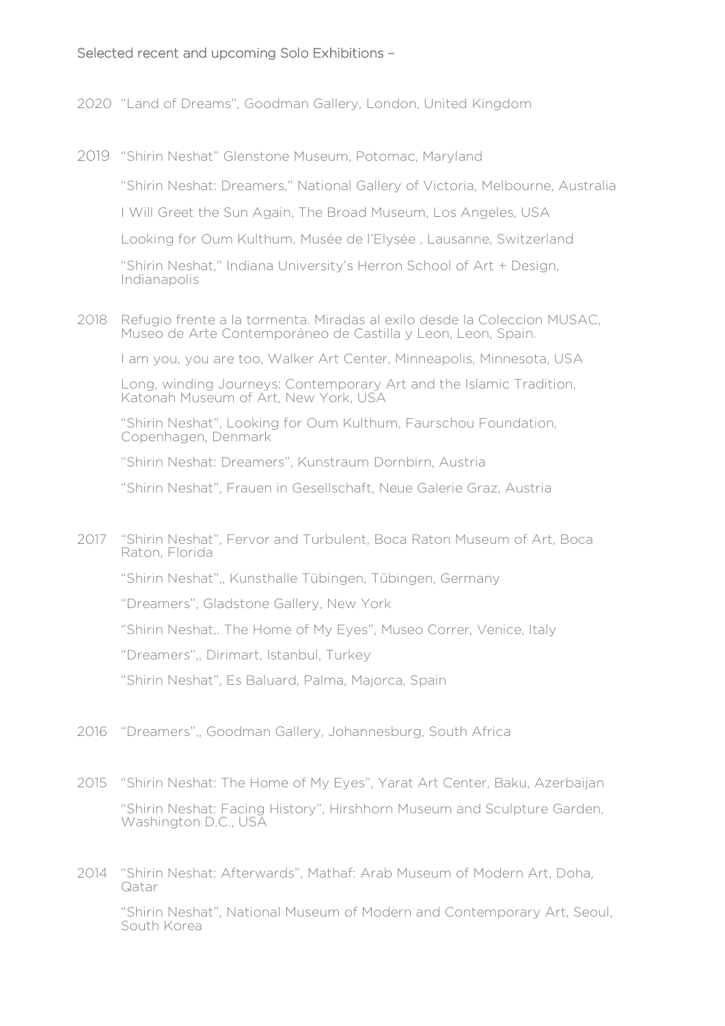# Selected recent and upcoming Solo Exhibitions –

- 2020 "Land of Dreams", Goodman Gallery, London, United Kingdom
- 2019 "Shirin Neshat" Glenstone Museum, Potomac, Maryland

"Shirin Neshat: Dreamers," National Gallery of Victoria, Melbourne, Australia

I Will Greet the Sun Again, The Broad Museum, Los Angeles, USA

Looking for Oum Kulthum, Musée de l'Elysée , Lausanne, Switzerland

"Shirin Neshat," Indiana University's Herron School of Art + Design, Indianapolis

2018 Refugio frente a la tormenta. Miradas al exilo desde la Coleccion MUSAC, Museo de Arte Contemporáneo de Castilla y Leon, Leon, Spain.

I am you, you are too, Walker Art Center, Minneapolis, Minnesota, USA

Long, winding Journeys: Contemporary Art and the Islamic Tradition, Katonah Museum of Art, New York, USA

"Shirin Neshat", Looking for Oum Kulthum, Faurschou Foundation, Copenhagen, Denmark

"Shirin Neshat: Dreamers", Kunstraum Dornbirn, Austria

"Shirin Neshat", Frauen in Gesellschaft, Neue Galerie Graz, Austria

2017 "Shirin Neshat", Fervor and Turbulent, Boca Raton Museum of Art, Boca Raton, Florida

"Shirin Neshat",, Kunsthalle Tübingen, Tübingen, Germany

"Dreamers", Gladstone Gallery, New York

"Shirin Neshat,. The Home of My Eyes", Museo Correr, Venice, Italy

"Dreamers",, Dirimart, Istanbul, Turkey

"Shirin Neshat", Es Baluard, Palma, Majorca, Spain

- 2016 "Dreamers",, Goodman Gallery, Johannesburg, South Africa
- 2015 "Shirin Neshat: The Home of My Eyes", Yarat Art Center, Baku, Azerbaijan "Shirin Neshat: Facing History", Hirshhorn Museum and Sculpture Garden, Washington D.C., USA
- 2014 "Shirin Neshat: Afterwards", Mathaf: Arab Museum of Modern Art, Doha, Qatar

"Shirin Neshat", National Museum of Modern and Contemporary Art, Seoul, South Korea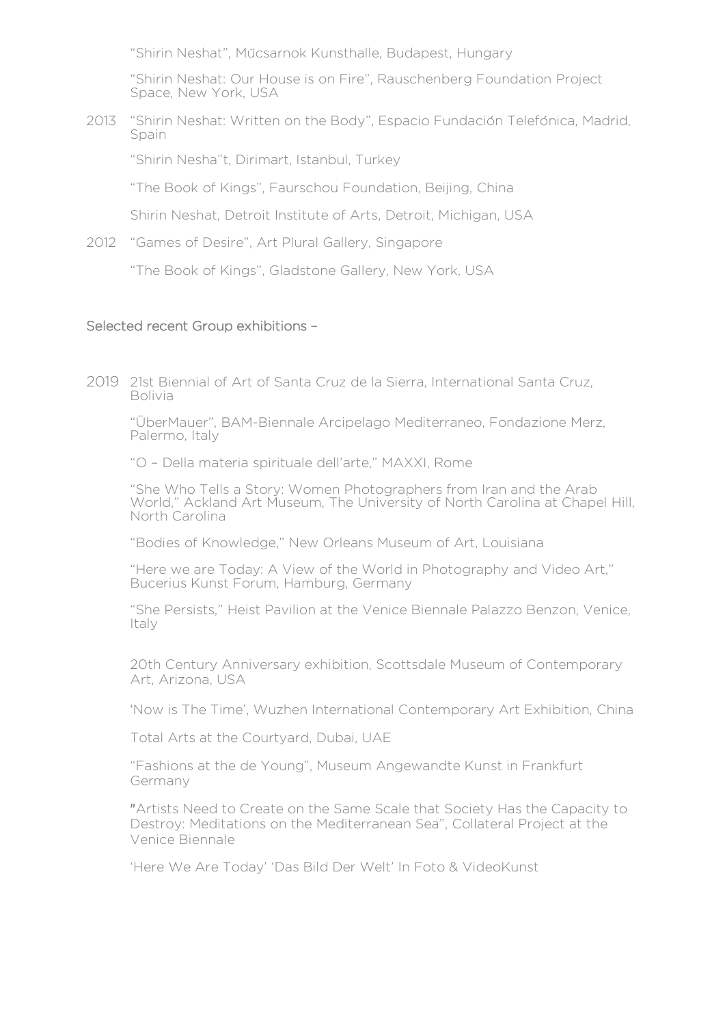"Shirin Neshat", Mücsarnok Kunsthalle, Budapest, Hungary

"Shirin Neshat: Our House is on Fire", Rauschenberg Foundation Project Space, New York, USA

2013 "Shirin Neshat: Written on the Body", Espacio Fundación Telefónica, Madrid, Spain

"Shirin Nesha"t, Dirimart, Istanbul, Turkey

"The Book of Kings", Faurschou Foundation, Beijing, China

Shirin Neshat, Detroit Institute of Arts, Detroit, Michigan, USA

2012 "Games of Desire", Art Plural Gallery, Singapore

"The Book of Kings", Gladstone Gallery, New York, USA

#### Selected recent Group exhibitions –

2019 21st Biennial of Art of Santa Cruz de la Sierra, International Santa Cruz, Bolivia

"ÜberMauer", BAM-Biennale Arcipelago Mediterraneo, Fondazione Merz, Palermo, Italy

"O – Della materia spirituale dell'arte," MAXXI, Rome

"She Who Tells a Story: Women Photographers from Iran and the Arab World," Ackland Art Museum, The University of North Carolina at Chapel Hill, North Carolina

"Bodies of Knowledge," New Orleans Museum of Art, Louisiana

"Here we are Today: A View of the World in Photography and Video Art," Bucerius Kunst Forum, Hamburg, Germany

"She Persists," Heist Pavilion at the Venice Biennale Palazzo Benzon, Venice, Italy

20th Century Anniversary exhibition, Scottsdale Museum of Contemporary Art, Arizona, USA

'Now is The Time', Wuzhen International Contemporary Art Exhibition, China

Total Arts at the Courtyard, Dubai, UAE

"Fashions at the de Young", Museum Angewandte Kunst in Frankfurt Germany

"Artists Need to Create on the Same Scale that Society Has the Capacity to Destroy: Meditations on the Mediterranean Sea", Collateral Project at the Venice Biennale

'Here We Are Today' 'Das Bild Der Welt' In Foto & VideoKunst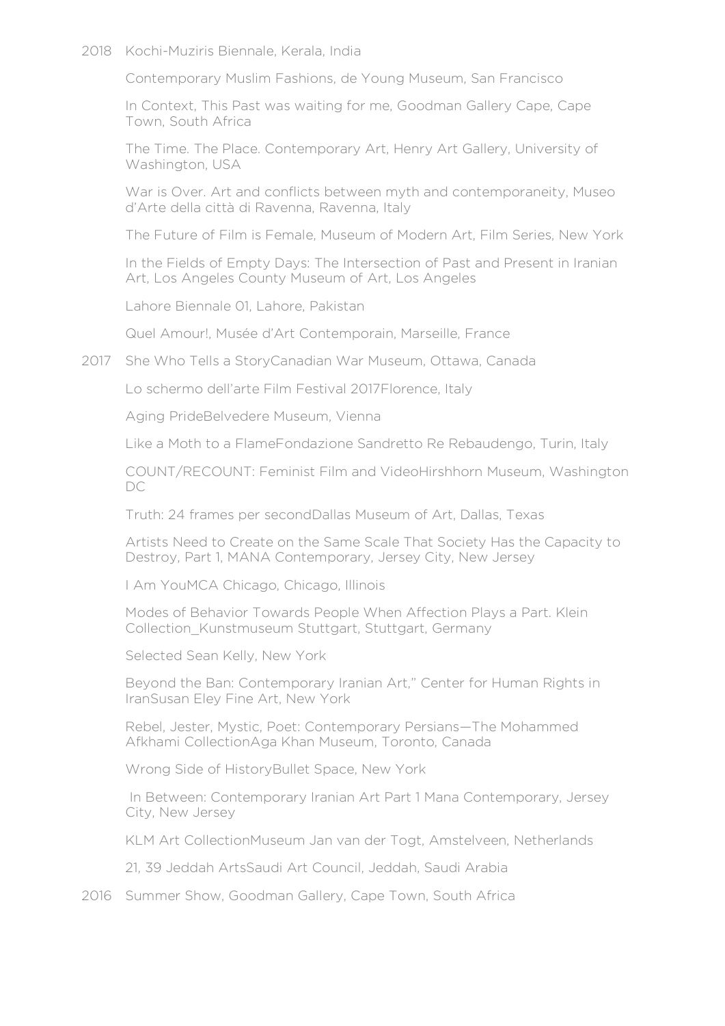#### 2018 Kochi-Muziris Biennale, Kerala, India

Contemporary Muslim Fashions, de Young Museum, San Francisco

In Context, This Past was waiting for me, Goodman Gallery Cape, Cape Town, South Africa

The Time. The Place. Contemporary Art, Henry Art Gallery, University of Washington, USA

War is Over. Art and conflicts between myth and contemporaneity, Museo d'Arte della città di Ravenna, Ravenna, Italy

The Future of Film is Female, Museum of Modern Art, Film Series, New York

In the Fields of Empty Days: The Intersection of Past and Present in Iranian Art, Los Angeles County Museum of Art, Los Angeles

Lahore Biennale 01, Lahore, Pakistan

Quel Amour!, Musée d'Art Contemporain, Marseille, France

2017 She Who Tells a StoryCanadian War Museum, Ottawa, Canada

Lo schermo dell'arte Film Festival 2017Florence, Italy

Aging PrideBelvedere Museum, Vienna

Like a Moth to a FlameFondazione Sandretto Re Rebaudengo, Turin, Italy

COUNT/RECOUNT: Feminist Film and VideoHirshhorn Museum, Washington DC

Truth: 24 frames per secondDallas Museum of Art, Dallas, Texas

Artists Need to Create on the Same Scale That Society Has the Capacity to Destroy, Part 1, MANA Contemporary, Jersey City, New Jersey

I Am YouMCA Chicago, Chicago, Illinois

Modes of Behavior Towards People When Affection Plays a Part. Klein Collection\_Kunstmuseum Stuttgart, Stuttgart, Germany

Selected Sean Kelly, New York

Beyond the Ban: Contemporary Iranian Art," Center for Human Rights in IranSusan Eley Fine Art, New York

Rebel, Jester, Mystic, Poet: Contemporary Persians—The Mohammed Afkhami CollectionAga Khan Museum, Toronto, Canada

Wrong Side of HistoryBullet Space, New York

In Between: Contemporary Iranian Art Part 1 Mana Contemporary, Jersey City, New Jersey

KLM Art CollectionMuseum Jan van der Togt, Amstelveen, Netherlands

21, 39 Jeddah ArtsSaudi Art Council, Jeddah, Saudi Arabia

2016 Summer Show, Goodman Gallery, Cape Town, South Africa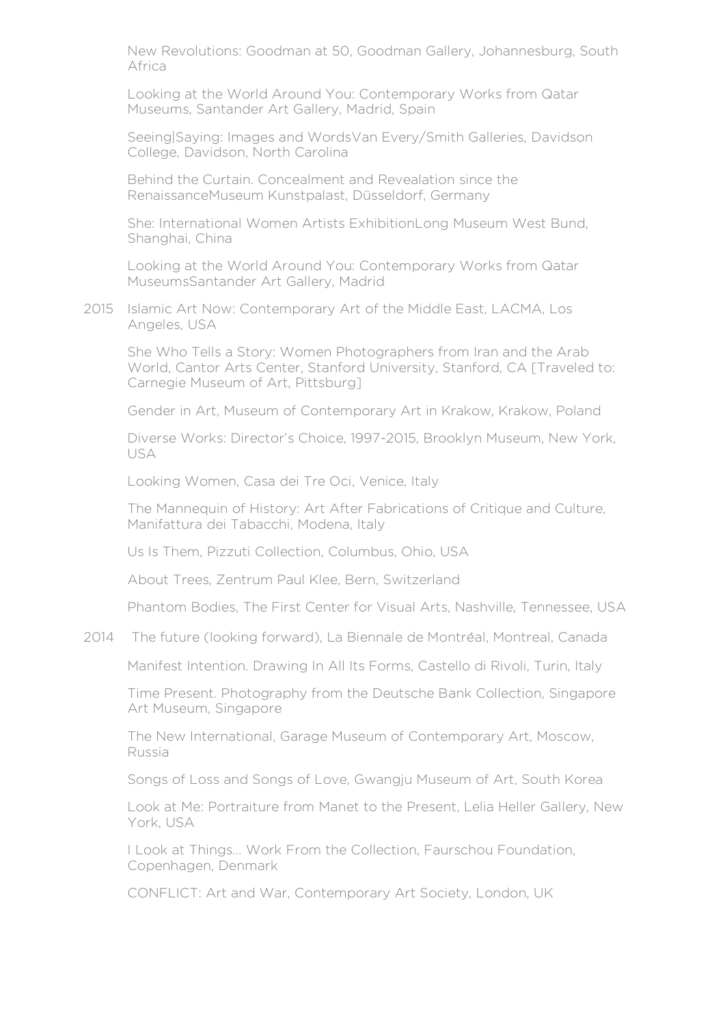New Revolutions: Goodman at 50, Goodman Gallery, Johannesburg, South Africa

Looking at the World Around You: Contemporary Works from Qatar Museums, Santander Art Gallery, Madrid, Spain

Seeing|Saying: Images and WordsVan Every/Smith Galleries, Davidson College, Davidson, North Carolina

Behind the Curtain. Concealment and Revealation since the RenaissanceMuseum Kunstpalast, Düsseldorf, Germany

She: International Women Artists ExhibitionLong Museum West Bund, Shanghai, China

Looking at the World Around You: Contemporary Works from Qatar MuseumsSantander Art Gallery, Madrid

2015 Islamic Art Now: Contemporary Art of the Middle East, LACMA, Los Angeles, USA

She Who Tells a Story: Women Photographers from Iran and the Arab World, Cantor Arts Center, Stanford University, Stanford, CA [Traveled to: Carnegie Museum of Art, Pittsburg]

Gender in Art, Museum of Contemporary Art in Krakow, Krakow, Poland

Diverse Works: Director's Choice, 1997-2015, Brooklyn Museum, New York, USA

Looking Women, Casa dei Tre Oci, Venice, Italy

The Mannequin of History: Art After Fabrications of Critique and Culture, Manifattura dei Tabacchi, Modena, Italy

Us Is Them, Pizzuti Collection, Columbus, Ohio, USA

About Trees, Zentrum Paul Klee, Bern, Switzerland

Phantom Bodies, The First Center for Visual Arts, Nashville, Tennessee, USA

2014 The future (looking forward), La Biennale de Montréal, Montreal, Canada

Manifest Intention. Drawing In All Its Forms, Castello di Rivoli, Turin, Italy

Time Present. Photography from the Deutsche Bank Collection, Singapore Art Museum, Singapore

The New International, Garage Museum of Contemporary Art, Moscow, Russia

Songs of Loss and Songs of Love, Gwangju Museum of Art, South Korea

Look at Me: Portraiture from Manet to the Present, Lelia Heller Gallery, New York, USA

I Look at Things… Work From the Collection, Faurschou Foundation, Copenhagen, Denmark

CONFLICT: Art and War, Contemporary Art Society, London, UK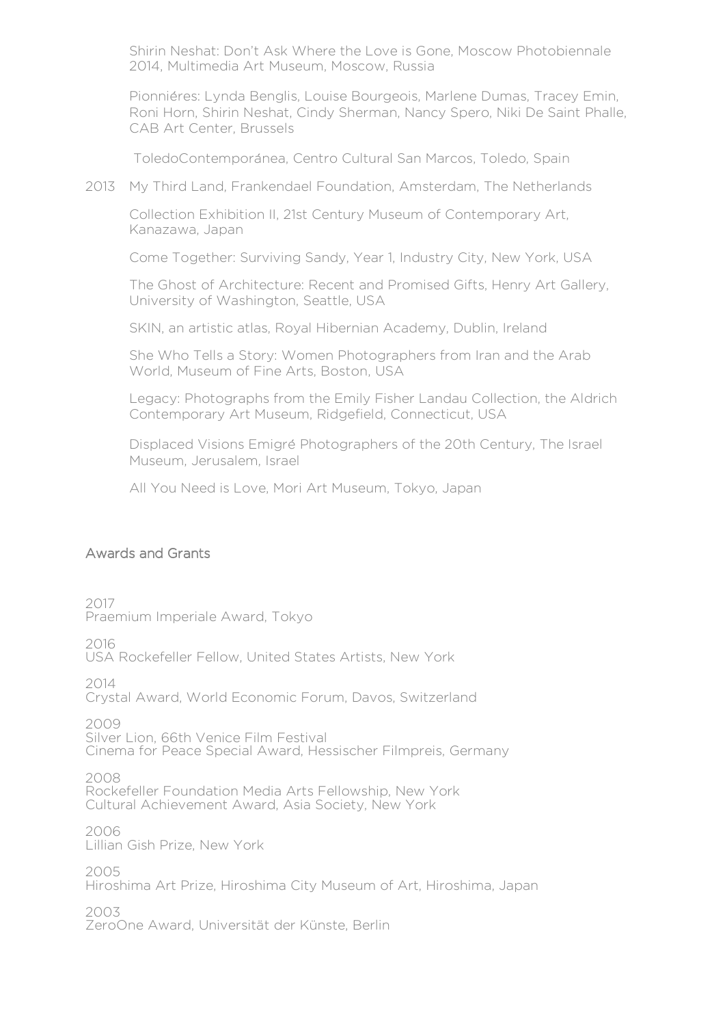Shirin Neshat: Don't Ask Where the Love is Gone, Moscow Photobiennale 2014, Multimedia Art Museum, Moscow, Russia

Pionniéres: Lynda Benglis, Louise Bourgeois, Marlene Dumas, Tracey Emin, Roni Horn, Shirin Neshat, Cindy Sherman, Nancy Spero, Niki De Saint Phalle, CAB Art Center, Brussels

ToledoContemporánea, Centro Cultural San Marcos, Toledo, Spain

2013 My Third Land, Frankendael Foundation, Amsterdam, The Netherlands

Collection Exhibition II, 21st Century Museum of Contemporary Art, Kanazawa, Japan

Come Together: Surviving Sandy, Year 1, Industry City, New York, USA

The Ghost of Architecture: Recent and Promised Gifts, Henry Art Gallery, University of Washington, Seattle, USA

SKIN, an artistic atlas, Royal Hibernian Academy, Dublin, Ireland

She Who Tells a Story: Women Photographers from Iran and the Arab World, Museum of Fine Arts, Boston, USA

Legacy: Photographs from the Emily Fisher Landau Collection, the Aldrich Contemporary Art Museum, Ridgefield, Connecticut, USA

Displaced Visions Emigre Photographers of the 20th Century, The Israel Museum, Jerusalem, Israel

All You Need is Love, Mori Art Museum, Tokyo, Japan

### Awards and Grants

2017 Praemium Imperiale Award, Tokyo

2016

USA Rockefeller Fellow, United States Artists, New York

2014

Crystal Award, World Economic Forum, Davos, Switzerland

2009

Silver Lion, 66th Venice Film Festival Cinema for Peace Special Award, Hessischer Filmpreis, Germany

2008 Rockefeller Foundation Media Arts Fellowship, New York Cultural Achievement Award, Asia Society, New York

2006 Lillian Gish Prize, New York

2005 Hiroshima Art Prize, Hiroshima City Museum of Art, Hiroshima, Japan

2003 ZeroOne Award, Universität der Künste, Berlin